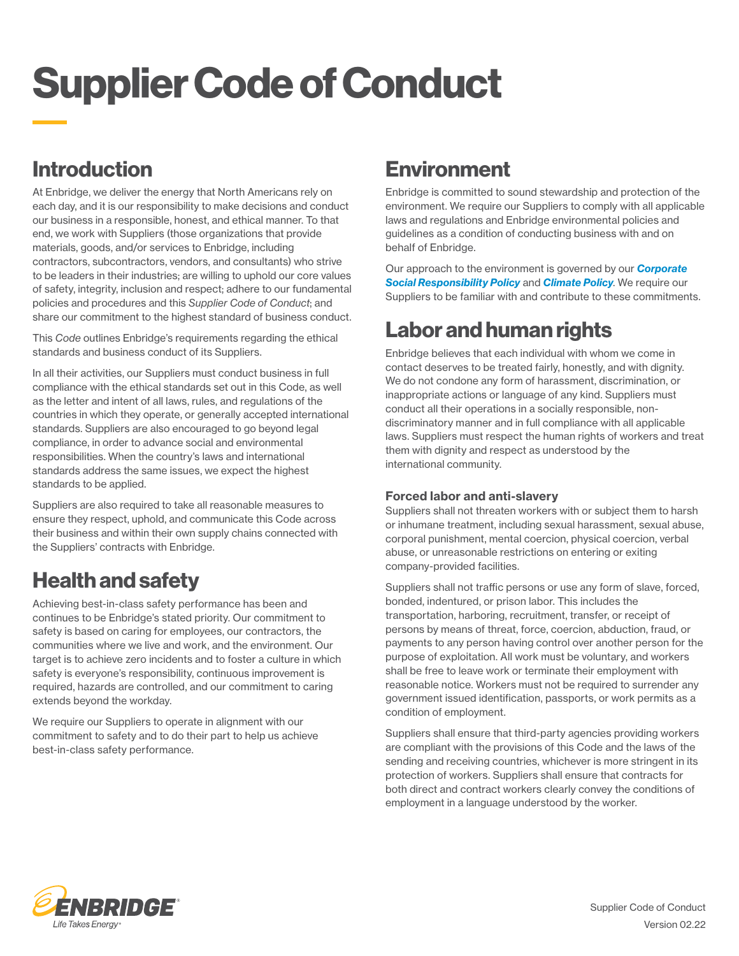# Supplier Code of Conduct

# Introduction

At Enbridge, we deliver the energy that North Americans rely on each day, and it is our responsibility to make decisions and conduct our business in a responsible, honest, and ethical manner. To that end, we work with Suppliers (those organizations that provide materials, goods, and/or services to Enbridge, including contractors, subcontractors, vendors, and consultants) who strive to be leaders in their industries; are willing to uphold our core values of safety, integrity, inclusion and respect; adhere to our fundamental policies and procedures and this *Supplier Code of Conduct*; and share our commitment to the highest standard of business conduct.

This *Code* outlines Enbridge's requirements regarding the ethical standards and business conduct of its Suppliers.

In all their activities, our Suppliers must conduct business in full compliance with the ethical standards set out in this Code, as well as the letter and intent of all laws, rules, and regulations of the countries in which they operate, or generally accepted international standards. Suppliers are also encouraged to go beyond legal compliance, in order to advance social and environmental responsibilities. When the country's laws and international standards address the same issues, we expect the highest standards to be applied.

Suppliers are also required to take all reasonable measures to ensure they respect, uphold, and communicate this Code across their business and within their own supply chains connected with the Suppliers' contracts with Enbridge.

### Health and safety

Achieving best-in-class safety performance has been and continues to be Enbridge's stated priority. Our commitment to safety is based on caring for employees, our contractors, the communities where we live and work, and the environment. Our target is to achieve zero incidents and to foster a culture in which safety is everyone's responsibility, continuous improvement is required, hazards are controlled, and our commitment to caring extends beyond the workday.

We require our Suppliers to operate in alignment with our commitment to safety and to do their part to help us achieve best-in-class safety performance.

### **Environment**

Enbridge is committed to sound stewardship and protection of the environment. We require our Suppliers to comply with all applicable laws and regulations and Enbridge environmental policies and guidelines as a condition of conducting business with and on behalf of Enbridge.

Our approach to the environment is governed by our *[Corporate](http://www.enbridge.com/~/media/Enb/Documents/CSR/Policies/csr-policy.pdf?la=en)  [Social Responsibility Policy](http://www.enbridge.com/~/media/Enb/Documents/CSR/Policies/csr-policy.pdf?la=en)* and *[Climate Policy](https://www.enbridge.com/~/media/Enb/Documents/CSR/Policies/climate_policy.pdf)*. We require our Suppliers to be familiar with and contribute to these commitments.

# Labor and human rights

Enbridge believes that each individual with whom we come in contact deserves to be treated fairly, honestly, and with dignity. We do not condone any form of harassment, discrimination, or inappropriate actions or language of any kind. Suppliers must conduct all their operations in a socially responsible, nondiscriminatory manner and in full compliance with all applicable laws. Suppliers must respect the human rights of workers and treat them with dignity and respect as understood by the international community.

### Forced labor and anti-slavery

Suppliers shall not threaten workers with or subject them to harsh or inhumane treatment, including sexual harassment, sexual abuse, corporal punishment, mental coercion, physical coercion, verbal abuse, or unreasonable restrictions on entering or exiting company-provided facilities.

Suppliers shall not traffic persons or use any form of slave, forced, bonded, indentured, or prison labor. This includes the transportation, harboring, recruitment, transfer, or receipt of persons by means of threat, force, coercion, abduction, fraud, or payments to any person having control over another person for the purpose of exploitation. All work must be voluntary, and workers shall be free to leave work or terminate their employment with reasonable notice. Workers must not be required to surrender any government issued identification, passports, or work permits as a condition of employment.

Suppliers shall ensure that third-party agencies providing workers are compliant with the provisions of this Code and the laws of the sending and receiving countries, whichever is more stringent in its protection of workers. Suppliers shall ensure that contracts for both direct and contract workers clearly convey the conditions of employment in a language understood by the worker.

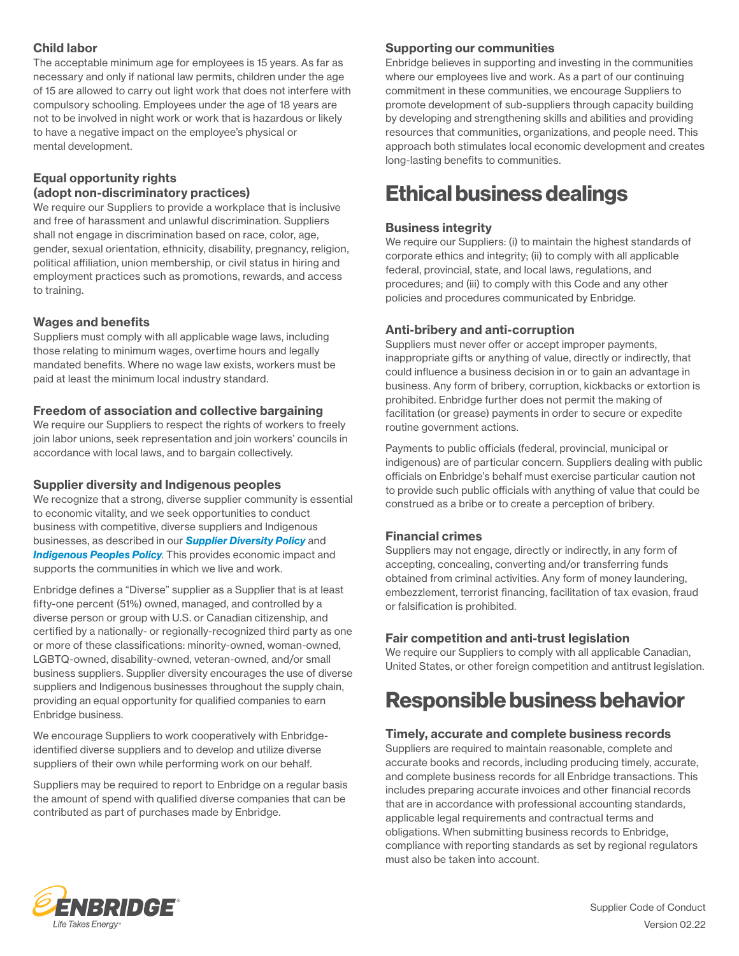### Child labor

The acceptable minimum age for employees is 15 years. As far as necessary and only if national law permits, children under the age of 15 are allowed to carry out light work that does not interfere with compulsory schooling. Employees under the age of 18 years are not to be involved in night work or work that is hazardous or likely to have a negative impact on the employee's physical or mental development.

### Equal opportunity rights (adopt non-discriminatory practices)

We require our Suppliers to provide a workplace that is inclusive and free of harassment and unlawful discrimination. Suppliers shall not engage in discrimination based on race, color, age, gender, sexual orientation, ethnicity, disability, pregnancy, religion, political affiliation, union membership, or civil status in hiring and employment practices such as promotions, rewards, and access to training.

### Wages and benefits

Suppliers must comply with all applicable wage laws, including those relating to minimum wages, overtime hours and legally mandated benefits. Where no wage law exists, workers must be paid at least the minimum local industry standard.

### Freedom of association and collective bargaining

We require our Suppliers to respect the rights of workers to freely join labor unions, seek representation and join workers' councils in accordance with local laws, and to bargain collectively.

### Supplier diversity and Indigenous peoples

We recognize that a strong, diverse supplier community is essential to economic vitality, and we seek opportunities to conduct business with competitive, diverse suppliers and Indigenous businesses, as described in our *[Supplier Diversity Policy](https://www.enbridge.com/~/media/Enb/Documents/Work%20with%20Enbridge/ENB%20Supplier%20Diversity%20Policy_Mar2021.pdf?la=en)* and **[Indigenous Peoples Policy](http://www.enbridge.com/~/media/Enb/Documents/About%20Us/indigenous_peoples_policy.pdf?la=en)**. This provides economic impact and supports the communities in which we live and work.

Enbridge defines a "Diverse" supplier as a Supplier that is at least fifty-one percent (51%) owned, managed, and controlled by a diverse person or group with U.S. or Canadian citizenship, and certified by a nationally- or regionally-recognized third party as one or more of these classifications: minority-owned, woman-owned, LGBTQ-owned, disability-owned, veteran-owned, and/or small business suppliers. Supplier diversity encourages the use of diverse suppliers and Indigenous businesses throughout the supply chain, providing an equal opportunity for qualified companies to earn Enbridge business.

We encourage Suppliers to work cooperatively with Enbridgeidentified diverse suppliers and to develop and utilize diverse suppliers of their own while performing work on our behalf.

Suppliers may be required to report to Enbridge on a regular basis the amount of spend with qualified diverse companies that can be contributed as part of purchases made by Enbridge.

### Supporting our communities

Enbridge believes in supporting and investing in the communities where our employees live and work. As a part of our continuing commitment in these communities, we encourage Suppliers to promote development of sub-suppliers through capacity building by developing and strengthening skills and abilities and providing resources that communities, organizations, and people need. This approach both stimulates local economic development and creates long-lasting benefits to communities.

### Ethical business dealings

### Business integrity

We require our Suppliers: (i) to maintain the highest standards of corporate ethics and integrity; (ii) to comply with all applicable federal, provincial, state, and local laws, regulations, and procedures; and (iii) to comply with this Code and any other policies and procedures communicated by Enbridge.

### Anti-bribery and anti-corruption

Suppliers must never offer or accept improper payments, inappropriate gifts or anything of value, directly or indirectly, that could influence a business decision in or to gain an advantage in business. Any form of bribery, corruption, kickbacks or extortion is prohibited. Enbridge further does not permit the making of facilitation (or grease) payments in order to secure or expedite routine government actions.

Payments to public officials (federal, provincial, municipal or indigenous) are of particular concern. Suppliers dealing with public officials on Enbridge's behalf must exercise particular caution not to provide such public officials with anything of value that could be construed as a bribe or to create a perception of bribery.

### Financial crimes

Suppliers may not engage, directly or indirectly, in any form of accepting, concealing, converting and/or transferring funds obtained from criminal activities. Any form of money laundering, embezzlement, terrorist financing, facilitation of tax evasion, fraud or falsification is prohibited.

### Fair competition and anti-trust legislation

We require our Suppliers to comply with all applicable Canadian, United States, or other foreign competition and antitrust legislation.

### Responsible business behavior

### Timely, accurate and complete business records

Suppliers are required to maintain reasonable, complete and accurate books and records, including producing timely, accurate, and complete business records for all Enbridge transactions. This includes preparing accurate invoices and other financial records that are in accordance with professional accounting standards, applicable legal requirements and contractual terms and obligations. When submitting business records to Enbridge, compliance with reporting standards as set by regional regulators must also be taken into account.

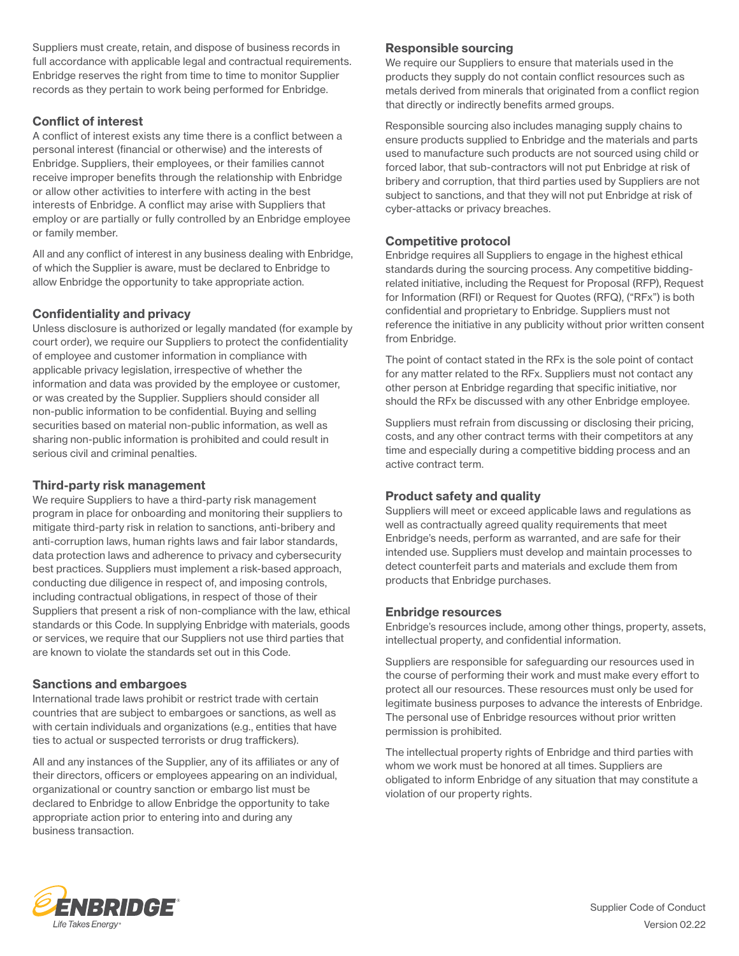Suppliers must create, retain, and dispose of business records in full accordance with applicable legal and contractual requirements. Enbridge reserves the right from time to time to monitor Supplier records as they pertain to work being performed for Enbridge.

### Conflict of interest

A conflict of interest exists any time there is a conflict between a personal interest (financial or otherwise) and the interests of Enbridge. Suppliers, their employees, or their families cannot receive improper benefits through the relationship with Enbridge or allow other activities to interfere with acting in the best interests of Enbridge. A conflict may arise with Suppliers that employ or are partially or fully controlled by an Enbridge employee or family member.

All and any conflict of interest in any business dealing with Enbridge, of which the Supplier is aware, must be declared to Enbridge to allow Enbridge the opportunity to take appropriate action.

### Confidentiality and privacy

Unless disclosure is authorized or legally mandated (for example by court order), we require our Suppliers to protect the confidentiality of employee and customer information in compliance with applicable privacy legislation, irrespective of whether the information and data was provided by the employee or customer, or was created by the Supplier. Suppliers should consider all non-public information to be confidential. Buying and selling securities based on material non-public information, as well as sharing non-public information is prohibited and could result in serious civil and criminal penalties.

### Third-party risk management

We require Suppliers to have a third-party risk management program in place for onboarding and monitoring their suppliers to mitigate third-party risk in relation to sanctions, anti-bribery and anti-corruption laws, human rights laws and fair labor standards, data protection laws and adherence to privacy and cybersecurity best practices. Suppliers must implement a risk-based approach, conducting due diligence in respect of, and imposing controls, including contractual obligations, in respect of those of their Suppliers that present a risk of non-compliance with the law, ethical standards or this Code. In supplying Enbridge with materials, goods or services, we require that our Suppliers not use third parties that are known to violate the standards set out in this Code.

### Sanctions and embargoes

International trade laws prohibit or restrict trade with certain countries that are subject to embargoes or sanctions, as well as with certain individuals and organizations (e.g., entities that have ties to actual or suspected terrorists or drug traffickers).

All and any instances of the Supplier, any of its affiliates or any of their directors, officers or employees appearing on an individual, organizational or country sanction or embargo list must be declared to Enbridge to allow Enbridge the opportunity to take appropriate action prior to entering into and during any business transaction.

### Responsible sourcing

We require our Suppliers to ensure that materials used in the products they supply do not contain conflict resources such as metals derived from minerals that originated from a conflict region that directly or indirectly benefits armed groups.

Responsible sourcing also includes managing supply chains to ensure products supplied to Enbridge and the materials and parts used to manufacture such products are not sourced using child or forced labor, that sub-contractors will not put Enbridge at risk of bribery and corruption, that third parties used by Suppliers are not subject to sanctions, and that they will not put Enbridge at risk of cyber-attacks or privacy breaches.

### Competitive protocol

Enbridge requires all Suppliers to engage in the highest ethical standards during the sourcing process. Any competitive biddingrelated initiative, including the Request for Proposal (RFP), Request for Information (RFI) or Request for Quotes (RFQ), ("RFx") is both confidential and proprietary to Enbridge. Suppliers must not reference the initiative in any publicity without prior written consent from Enbridge.

The point of contact stated in the RFx is the sole point of contact for any matter related to the RFx. Suppliers must not contact any other person at Enbridge regarding that specific initiative, nor should the RFx be discussed with any other Enbridge employee.

Suppliers must refrain from discussing or disclosing their pricing, costs, and any other contract terms with their competitors at any time and especially during a competitive bidding process and an active contract term.

### Product safety and quality

Suppliers will meet or exceed applicable laws and regulations as well as contractually agreed quality requirements that meet Enbridge's needs, perform as warranted, and are safe for their intended use. Suppliers must develop and maintain processes to detect counterfeit parts and materials and exclude them from products that Enbridge purchases.

### Enbridge resources

Enbridge's resources include, among other things, property, assets, intellectual property, and confidential information.

Suppliers are responsible for safeguarding our resources used in the course of performing their work and must make every effort to protect all our resources. These resources must only be used for legitimate business purposes to advance the interests of Enbridge. The personal use of Enbridge resources without prior written permission is prohibited.

The intellectual property rights of Enbridge and third parties with whom we work must be honored at all times. Suppliers are obligated to inform Enbridge of any situation that may constitute a violation of our property rights.